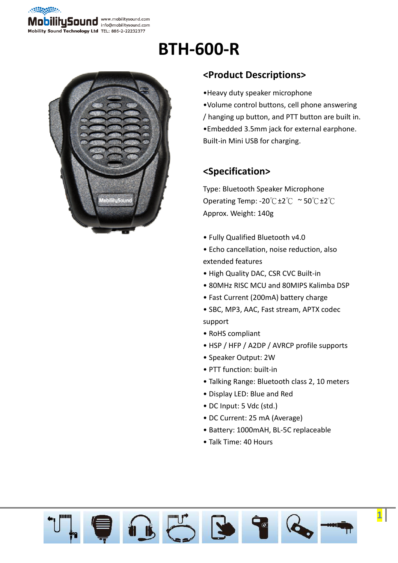

# **BTH-600-R**



#### **<Product Descriptions>**

- •Heavy duty speaker microphone
- •Volume control buttons, cell phone answering / hanging up button, and PTT button are built in. •Embedded 3.5mm jack for external earphone. Built-in Mini USB for charging.

#### **<Specification>**

Type: Bluetooth Speaker Microphone Operating Temp: -20℃±2℃ ~ 50℃±2℃ Approx. Weight: 140g

- Fully Qualified Bluetooth v4.0
- Echo cancellation, noise reduction, also extended features
- High Quality DAC, CSR CVC Built-in
- 80MHz RISC MCU and 80MIPS Kalimba DSP
- Fast Current (200mA) battery charge
- SBC, MP3, AAC, Fast stream, APTX codec support
- RoHS compliant
- HSP / HFP / A2DP / AVRCP profile supports
- Speaker Output: 2W
- PTT function: built-in
- Talking Range: Bluetooth class 2, 10 meters
- Display LED: Blue and Red
- DC Input: 5 Vdc (std.)
- DC Current: 25 mA (Average)
- Battery: 1000mAH, BL-5C replaceable

**1**

• Talk Time: 40 Hours

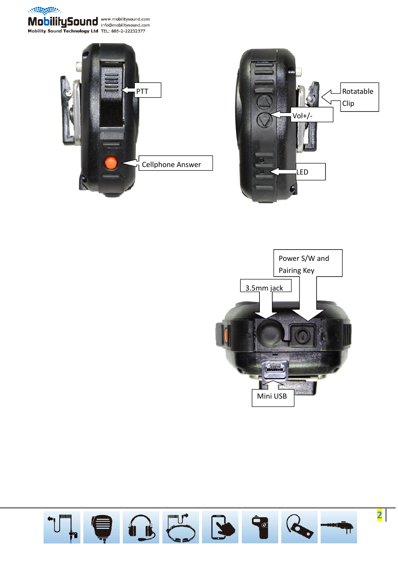